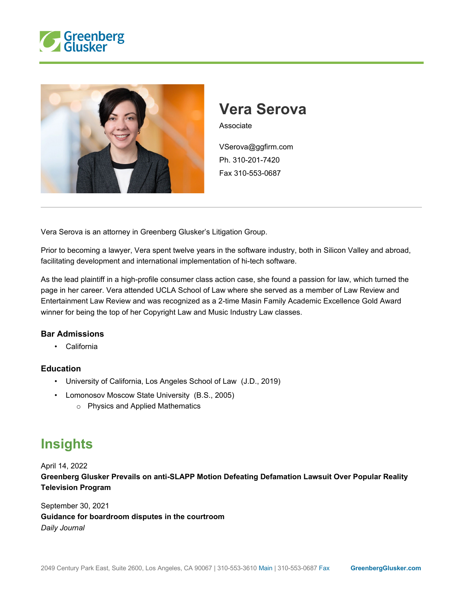



## **Vera Serova**

Associate

VSerova@ggfirm.com Ph. 310-201-7420 Fax 310-553-0687

Vera Serova is an attorney in Greenberg Glusker's Litigation Group.

Prior to becoming a lawyer, Vera spent twelve years in the software industry, both in Silicon Valley and abroad, facilitating development and international implementation of hi-tech software.

As the lead plaintiff in a high-profile consumer class action case, she found a passion for law, which turned the page in her career. Vera attended UCLA School of Law where she served as a member of Law Review and Entertainment Law Review and was recognized as a 2-time Masin Family Academic Excellence Gold Award winner for being the top of her Copyright Law and Music Industry Law classes.

## **Bar Admissions**

• California

## **Education**

- University of California, Los Angeles School of Law (J.D., 2019)
- Lomonosov Moscow State University (B.S., 2005)
	- o Physics and Applied Mathematics

## **Insights**

April 14, 2022

**Greenberg Glusker Prevails on anti-SLAPP Motion Defeating Defamation Lawsuit Over Popular Reality Television Program**

September 30, 2021 **Guidance for boardroom disputes in the courtroom** *Daily Journal*